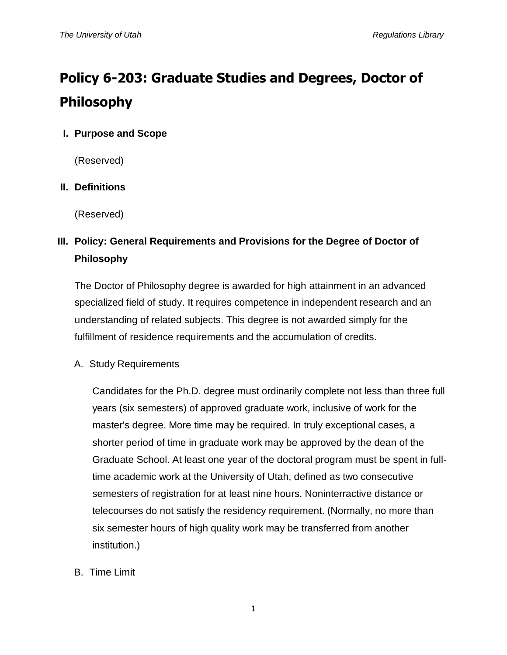# **Policy 6-203: Graduate Studies and Degrees, Doctor of Philosophy**

# **I. Purpose and Scope**

(Reserved)

# **II. Definitions**

(Reserved)

# **III. Policy: General Requirements and Provisions for the Degree of Doctor of Philosophy**

The Doctor of Philosophy degree is awarded for high attainment in an advanced specialized field of study. It requires competence in independent research and an understanding of related subjects. This degree is not awarded simply for the fulfillment of residence requirements and the accumulation of credits.

# A. Study Requirements

Candidates for the Ph.D. degree must ordinarily complete not less than three full years (six semesters) of approved graduate work, inclusive of work for the master's degree. More time may be required. In truly exceptional cases, a shorter period of time in graduate work may be approved by the dean of the Graduate School. At least one year of the doctoral program must be spent in fulltime academic work at the University of Utah, defined as two consecutive semesters of registration for at least nine hours. Noninterractive distance or telecourses do not satisfy the residency requirement. (Normally, no more than six semester hours of high quality work may be transferred from another institution.)

B. Time Limit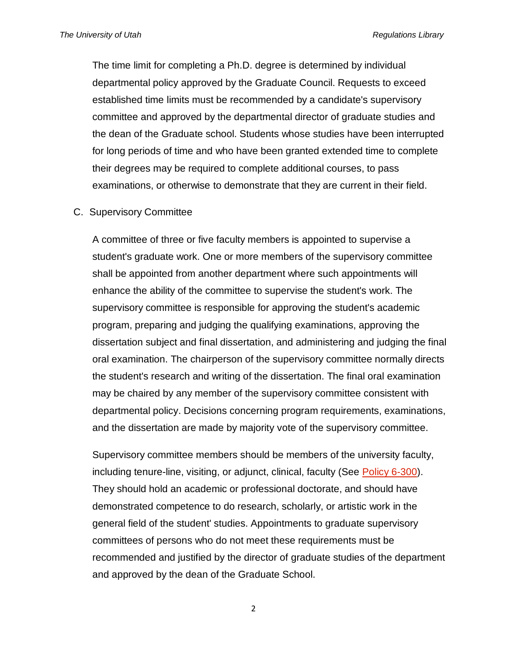The time limit for completing a Ph.D. degree is determined by individual departmental policy approved by the Graduate Council. Requests to exceed established time limits must be recommended by a candidate's supervisory committee and approved by the departmental director of graduate studies and the dean of the Graduate school. Students whose studies have been interrupted for long periods of time and who have been granted extended time to complete their degrees may be required to complete additional courses, to pass examinations, or otherwise to demonstrate that they are current in their field.

#### C. Supervisory Committee

A committee of three or five faculty members is appointed to supervise a student's graduate work. One or more members of the supervisory committee shall be appointed from another department where such appointments will enhance the ability of the committee to supervise the student's work. The supervisory committee is responsible for approving the student's academic program, preparing and judging the qualifying examinations, approving the dissertation subject and final dissertation, and administering and judging the final oral examination. The chairperson of the supervisory committee normally directs the student's research and writing of the dissertation. The final oral examination may be chaired by any member of the supervisory committee consistent with departmental policy. Decisions concerning program requirements, examinations, and the dissertation are made by majority vote of the supervisory committee.

Supervisory committee members should be members of the university faculty, including tenure-line, visiting, or adjunct, clinical, faculty (See [Policy 6-300\)](http://regulations.utah.edu/academics/revisions_6/6-300.R16.pdf). They should hold an academic or professional doctorate, and should have demonstrated competence to do research, scholarly, or artistic work in the general field of the student' studies. Appointments to graduate supervisory committees of persons who do not meet these requirements must be recommended and justified by the director of graduate studies of the department and approved by the dean of the Graduate School.

2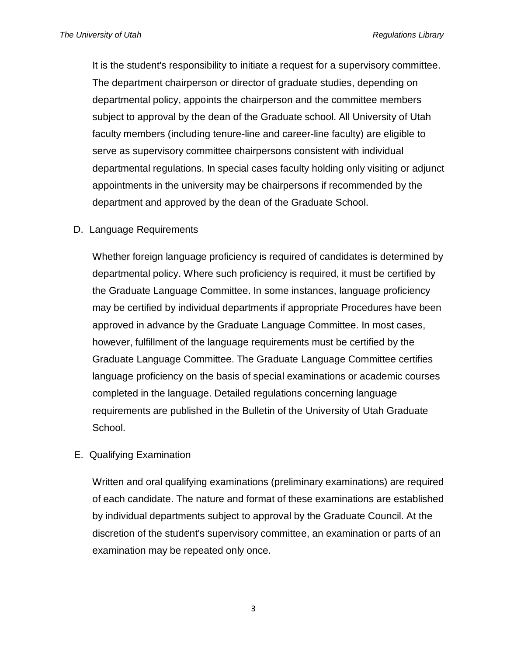It is the student's responsibility to initiate a request for a supervisory committee. The department chairperson or director of graduate studies, depending on departmental policy, appoints the chairperson and the committee members subject to approval by the dean of the Graduate school. All University of Utah faculty members (including tenure-line and career-line faculty) are eligible to serve as supervisory committee chairpersons consistent with individual departmental regulations. In special cases faculty holding only visiting or adjunct appointments in the university may be chairpersons if recommended by the department and approved by the dean of the Graduate School.

D. Language Requirements

Whether foreign language proficiency is required of candidates is determined by departmental policy. Where such proficiency is required, it must be certified by the Graduate Language Committee. In some instances, language proficiency may be certified by individual departments if appropriate Procedures have been approved in advance by the Graduate Language Committee. In most cases, however, fulfillment of the language requirements must be certified by the Graduate Language Committee. The Graduate Language Committee certifies language proficiency on the basis of special examinations or academic courses completed in the language. Detailed regulations concerning language requirements are published in the Bulletin of the University of Utah Graduate School.

E. Qualifying Examination

Written and oral qualifying examinations (preliminary examinations) are required of each candidate. The nature and format of these examinations are established by individual departments subject to approval by the Graduate Council. At the discretion of the student's supervisory committee, an examination or parts of an examination may be repeated only once.

3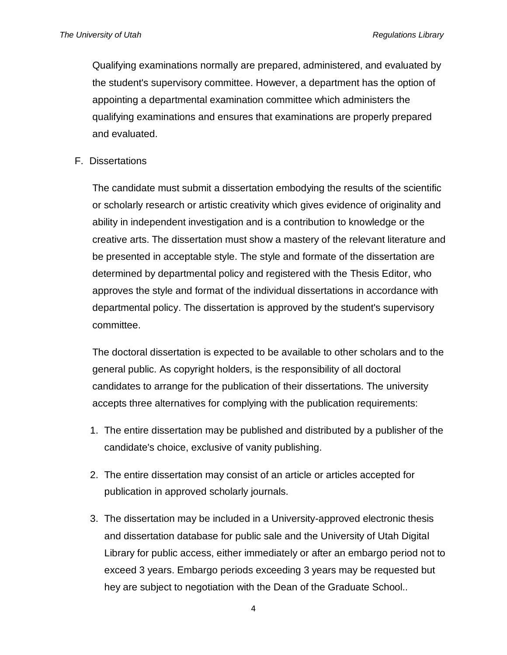Qualifying examinations normally are prepared, administered, and evaluated by the student's supervisory committee. However, a department has the option of appointing a departmental examination committee which administers the qualifying examinations and ensures that examinations are properly prepared and evaluated.

F. Dissertations

The candidate must submit a dissertation embodying the results of the scientific or scholarly research or artistic creativity which gives evidence of originality and ability in independent investigation and is a contribution to knowledge or the creative arts. The dissertation must show a mastery of the relevant literature and be presented in acceptable style. The style and formate of the dissertation are determined by departmental policy and registered with the Thesis Editor, who approves the style and format of the individual dissertations in accordance with departmental policy. The dissertation is approved by the student's supervisory committee.

The doctoral dissertation is expected to be available to other scholars and to the general public. As copyright holders, is the responsibility of all doctoral candidates to arrange for the publication of their dissertations. The university accepts three alternatives for complying with the publication requirements:

- 1. The entire dissertation may be published and distributed by a publisher of the candidate's choice, exclusive of vanity publishing.
- 2. The entire dissertation may consist of an article or articles accepted for publication in approved scholarly journals.
- 3. The dissertation may be included in a University-approved electronic thesis and dissertation database for public sale and the University of Utah Digital Library for public access, either immediately or after an embargo period not to exceed 3 years. Embargo periods exceeding 3 years may be requested but hey are subject to negotiation with the Dean of the Graduate School..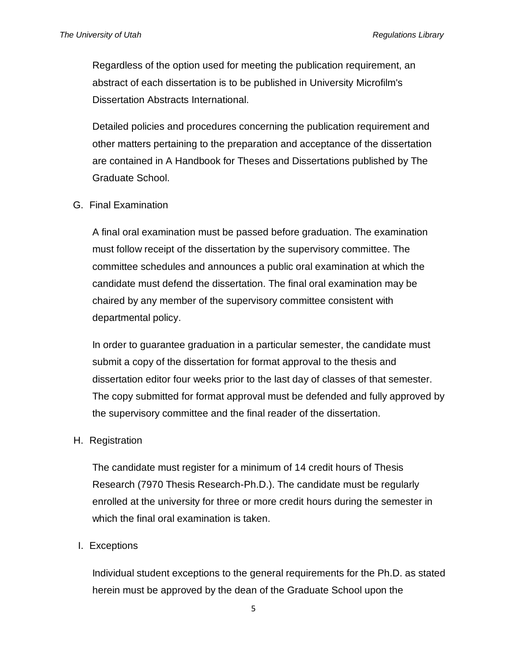Regardless of the option used for meeting the publication requirement, an abstract of each dissertation is to be published in University Microfilm's Dissertation Abstracts International.

Detailed policies and procedures concerning the publication requirement and other matters pertaining to the preparation and acceptance of the dissertation are contained in A Handbook for Theses and Dissertations published by The Graduate School.

G. Final Examination

A final oral examination must be passed before graduation. The examination must follow receipt of the dissertation by the supervisory committee. The committee schedules and announces a public oral examination at which the candidate must defend the dissertation. The final oral examination may be chaired by any member of the supervisory committee consistent with departmental policy.

In order to guarantee graduation in a particular semester, the candidate must submit a copy of the dissertation for format approval to the thesis and dissertation editor four weeks prior to the last day of classes of that semester. The copy submitted for format approval must be defended and fully approved by the supervisory committee and the final reader of the dissertation.

H. Registration

The candidate must register for a minimum of 14 credit hours of Thesis Research (7970 Thesis Research-Ph.D.). The candidate must be regularly enrolled at the university for three or more credit hours during the semester in which the final oral examination is taken.

#### I. Exceptions

Individual student exceptions to the general requirements for the Ph.D. as stated herein must be approved by the dean of the Graduate School upon the

5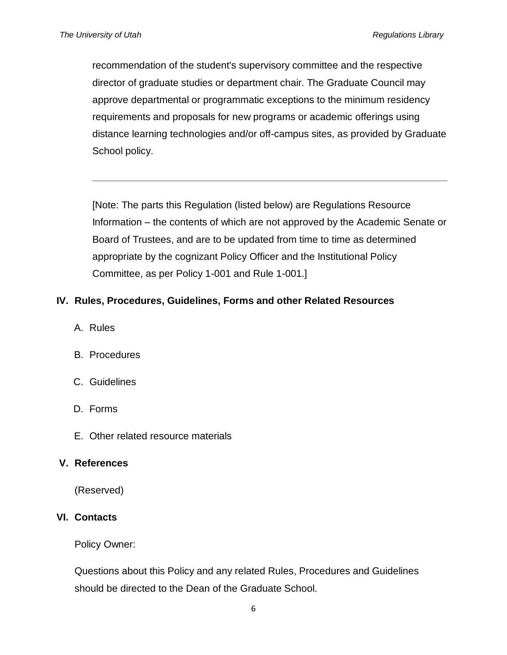recommendation of the student's supervisory committee and the respective director of graduate studies or department chair. The Graduate Council may approve departmental or programmatic exceptions to the minimum residency requirements and proposals for new programs or academic offerings using distance learning technologies and/or off-campus sites, as provided by Graduate School policy.

[Note: The parts this Regulation (listed below) are Regulations Resource Information – the contents of which are not approved by the Academic Senate or Board of Trustees, and are to be updated from time to time as determined appropriate by the cognizant Policy Officer and the Institutional Policy Committee, as per Policy 1-001 and Rule 1-001.]

# **IV. Rules, Procedures, Guidelines, Forms and other Related Resources**

- A. Rules
- B. Procedures
- C. Guidelines
- D. Forms
- E. Other related resource materials

#### **V. References**

(Reserved)

# **VI. Contacts**

Policy Owner:

Questions about this Policy and any related Rules, Procedures and Guidelines should be directed to the Dean of the Graduate School.